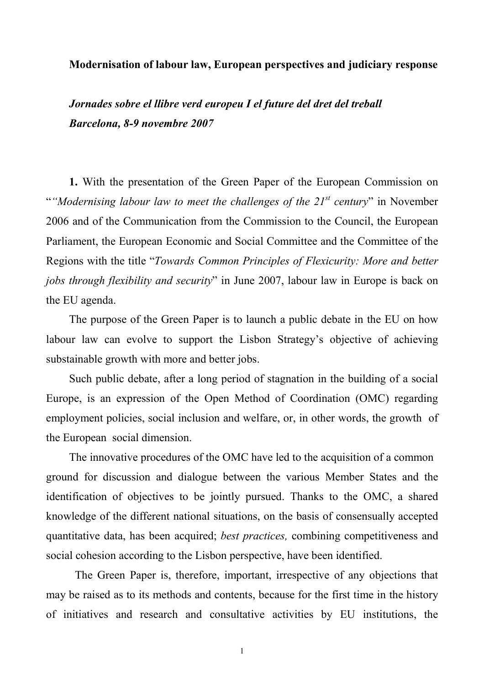## Modernisation of labour law, European perspectives and judiciary response

Jornades sobre el llibre verd europeu I el future del dret del treball Barcelona, 8-9 novembre 2007

1. With the presentation of the Green Paper of the European Commission on ""Modernising labour law to meet the challenges of the  $21<sup>st</sup>$  century" in November 2006 and of the Communication from the Commission to the Council, the European Parliament, the European Economic and Social Committee and the Committee of the Regions with the title "Towards Common Principles of Flexicurity: More and better jobs through flexibility and security" in June 2007, labour law in Europe is back on the EU agenda.

The purpose of the Green Paper is to launch a public debate in the EU on how labour law can evolve to support the Lisbon Strategy's objective of achieving substainable growth with more and better jobs.

Such public debate, after a long period of stagnation in the building of a social Europe, is an expression of the Open Method of Coordination (OMC) regarding employment policies, social inclusion and welfare, or, in other words, the growth of the European social dimension.

The innovative procedures of the OMC have led to the acquisition of a common ground for discussion and dialogue between the various Member States and the identification of objectives to be jointly pursued. Thanks to the OMC, a shared knowledge of the different national situations, on the basis of consensually accepted quantitative data, has been acquired; best practices, combining competitiveness and social cohesion according to the Lisbon perspective, have been identified.

The Green Paper is, therefore, important, irrespective of any objections that may be raised as to its methods and contents, because for the first time in the history of initiatives and research and consultative activities by EU institutions, the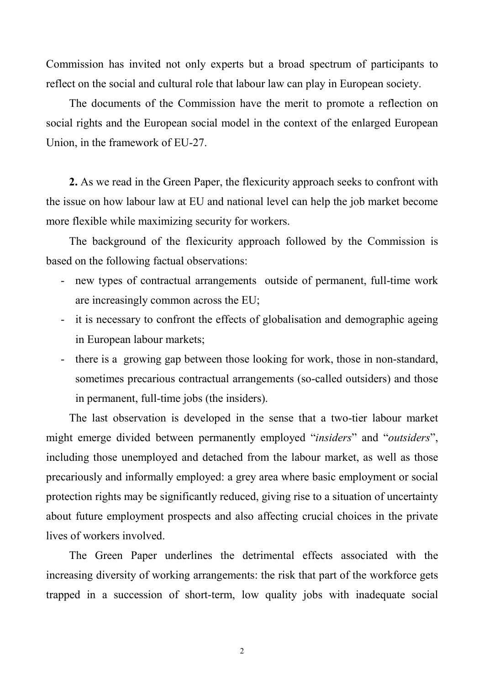Commission has invited not only experts but a broad spectrum of participants to reflect on the social and cultural role that labour law can play in European society.

The documents of the Commission have the merit to promote a reflection on social rights and the European social model in the context of the enlarged European Union, in the framework of EU-27.

2. As we read in the Green Paper, the flexicurity approach seeks to confront with the issue on how labour law at EU and national level can help the job market become more flexible while maximizing security for workers.

The background of the flexicurity approach followed by the Commission is based on the following factual observations:

- new types of contractual arrangements outside of permanent, full-time work are increasingly common across the EU;
- it is necessary to confront the effects of globalisation and demographic ageing in European labour markets;
- there is a growing gap between those looking for work, those in non-standard, sometimes precarious contractual arrangements (so-called outsiders) and those in permanent, full-time jobs (the insiders).

The last observation is developed in the sense that a two-tier labour market might emerge divided between permanently employed "*insiders*" and "*outsiders*", including those unemployed and detached from the labour market, as well as those precariously and informally employed: a grey area where basic employment or social protection rights may be significantly reduced, giving rise to a situation of uncertainty about future employment prospects and also affecting crucial choices in the private lives of workers involved.

The Green Paper underlines the detrimental effects associated with the increasing diversity of working arrangements: the risk that part of the workforce gets trapped in a succession of short-term, low quality jobs with inadequate social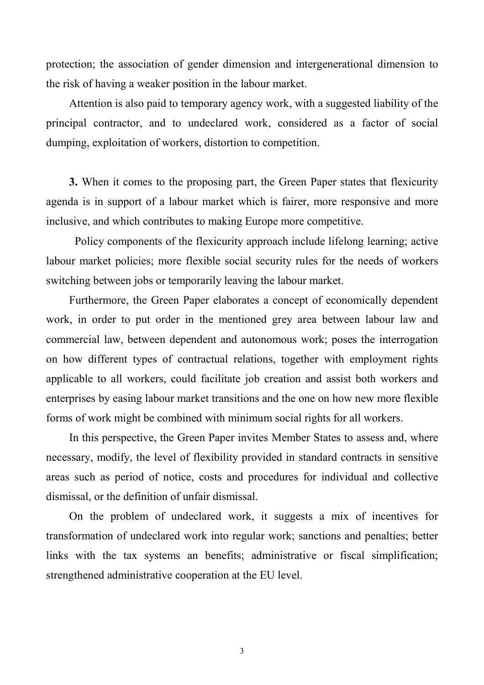protection; the association of gender dimension and intergenerational dimension to the risk of having a weaker position in the labour market.

Attention is also paid to temporary agency work, with a suggested liability of the principal contractor, and to undeclared work, considered as a factor of social dumping, exploitation of workers, distortion to competition.

3. When it comes to the proposing part, the Green Paper states that flexicurity agenda is in support of a labour market which is fairer, more responsive and more inclusive, and which contributes to making Europe more competitive.

 Policy components of the flexicurity approach include lifelong learning; active labour market policies; more flexible social security rules for the needs of workers switching between jobs or temporarily leaving the labour market.

Furthermore, the Green Paper elaborates a concept of economically dependent work, in order to put order in the mentioned grey area between labour law and commercial law, between dependent and autonomous work; poses the interrogation on how different types of contractual relations, together with employment rights applicable to all workers, could facilitate job creation and assist both workers and enterprises by easing labour market transitions and the one on how new more flexible forms of work might be combined with minimum social rights for all workers.

In this perspective, the Green Paper invites Member States to assess and, where necessary, modify, the level of flexibility provided in standard contracts in sensitive areas such as period of notice, costs and procedures for individual and collective dismissal, or the definition of unfair dismissal.

On the problem of undeclared work, it suggests a mix of incentives for transformation of undeclared work into regular work; sanctions and penalties; better links with the tax systems an benefits; administrative or fiscal simplification; strengthened administrative cooperation at the EU level.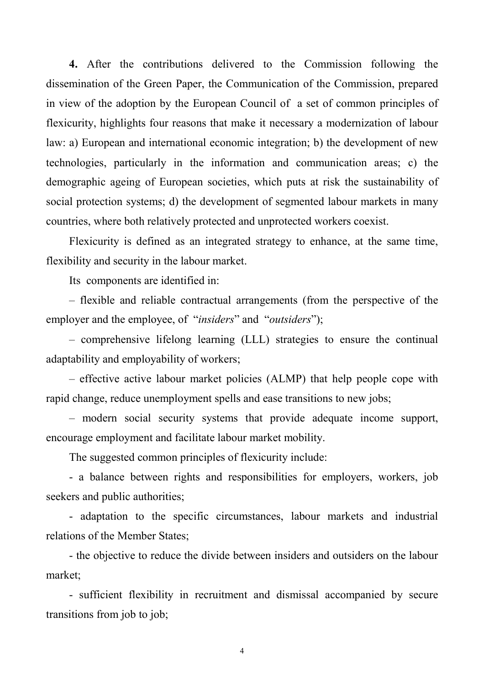4. After the contributions delivered to the Commission following the dissemination of the Green Paper, the Communication of the Commission, prepared in view of the adoption by the European Council of a set of common principles of flexicurity, highlights four reasons that make it necessary a modernization of labour law: a) European and international economic integration; b) the development of new technologies, particularly in the information and communication areas; c) the demographic ageing of European societies, which puts at risk the sustainability of social protection systems; d) the development of segmented labour markets in many countries, where both relatively protected and unprotected workers coexist.

Flexicurity is defined as an integrated strategy to enhance, at the same time, flexibility and security in the labour market.

Its components are identified in:

– flexible and reliable contractual arrangements (from the perspective of the employer and the employee, of "insiders" and "outsiders");

– comprehensive lifelong learning (LLL) strategies to ensure the continual adaptability and employability of workers;

– effective active labour market policies (ALMP) that help people cope with rapid change, reduce unemployment spells and ease transitions to new jobs;

– modern social security systems that provide adequate income support, encourage employment and facilitate labour market mobility.

The suggested common principles of flexicurity include:

- a balance between rights and responsibilities for employers, workers, job seekers and public authorities;

- adaptation to the specific circumstances, labour markets and industrial relations of the Member States;

- the objective to reduce the divide between insiders and outsiders on the labour market;

- sufficient flexibility in recruitment and dismissal accompanied by secure transitions from job to job;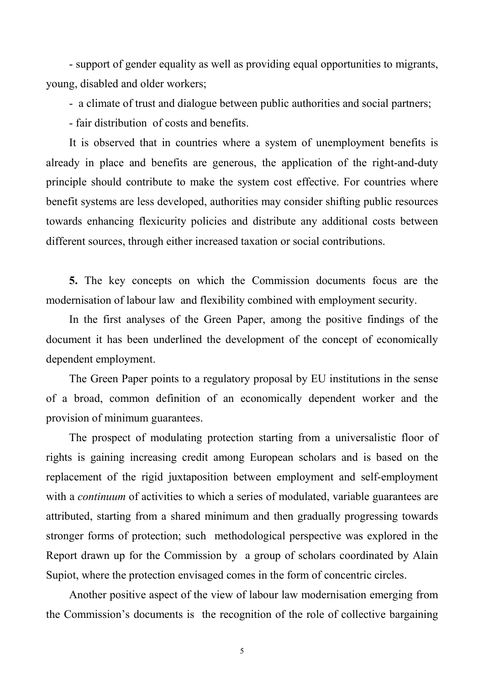- support of gender equality as well as providing equal opportunities to migrants, young, disabled and older workers;

- a climate of trust and dialogue between public authorities and social partners;

- fair distribution of costs and benefits.

It is observed that in countries where a system of unemployment benefits is already in place and benefits are generous, the application of the right-and-duty principle should contribute to make the system cost effective. For countries where benefit systems are less developed, authorities may consider shifting public resources towards enhancing flexicurity policies and distribute any additional costs between different sources, through either increased taxation or social contributions.

5. The key concepts on which the Commission documents focus are the modernisation of labour law and flexibility combined with employment security.

In the first analyses of the Green Paper, among the positive findings of the document it has been underlined the development of the concept of economically dependent employment.

The Green Paper points to a regulatory proposal by EU institutions in the sense of a broad, common definition of an economically dependent worker and the provision of minimum guarantees.

The prospect of modulating protection starting from a universalistic floor of rights is gaining increasing credit among European scholars and is based on the replacement of the rigid juxtaposition between employment and self-employment with a *continuum* of activities to which a series of modulated, variable guarantees are attributed, starting from a shared minimum and then gradually progressing towards stronger forms of protection; such methodological perspective was explored in the Report drawn up for the Commission by a group of scholars coordinated by Alain Supiot, where the protection envisaged comes in the form of concentric circles.

Another positive aspect of the view of labour law modernisation emerging from the Commission's documents is the recognition of the role of collective bargaining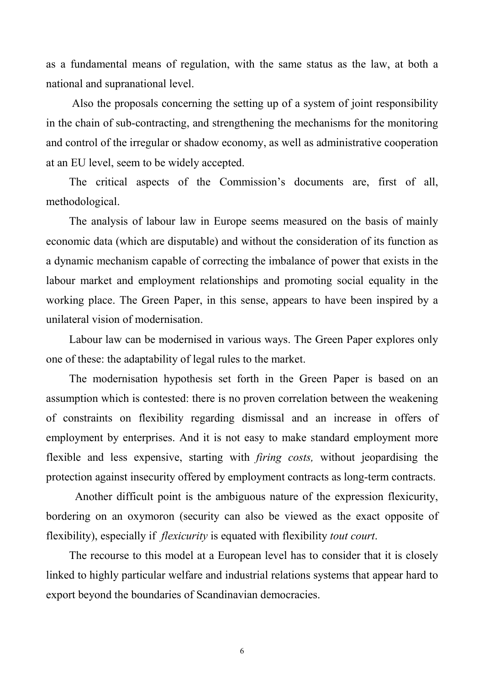as a fundamental means of regulation, with the same status as the law, at both a national and supranational level.

 Also the proposals concerning the setting up of a system of joint responsibility in the chain of sub-contracting, and strengthening the mechanisms for the monitoring and control of the irregular or shadow economy, as well as administrative cooperation at an EU level, seem to be widely accepted.

The critical aspects of the Commission's documents are, first of all, methodological.

The analysis of labour law in Europe seems measured on the basis of mainly economic data (which are disputable) and without the consideration of its function as a dynamic mechanism capable of correcting the imbalance of power that exists in the labour market and employment relationships and promoting social equality in the working place. The Green Paper, in this sense, appears to have been inspired by a unilateral vision of modernisation.

Labour law can be modernised in various ways. The Green Paper explores only one of these: the adaptability of legal rules to the market.

The modernisation hypothesis set forth in the Green Paper is based on an assumption which is contested: there is no proven correlation between the weakening of constraints on flexibility regarding dismissal and an increase in offers of employment by enterprises. And it is not easy to make standard employment more flexible and less expensive, starting with firing costs, without jeopardising the protection against insecurity offered by employment contracts as long-term contracts.

Another difficult point is the ambiguous nature of the expression flexicurity, bordering on an oxymoron (security can also be viewed as the exact opposite of flexibility), especially if *flexicurity* is equated with flexibility *tout court*.

The recourse to this model at a European level has to consider that it is closely linked to highly particular welfare and industrial relations systems that appear hard to export beyond the boundaries of Scandinavian democracies.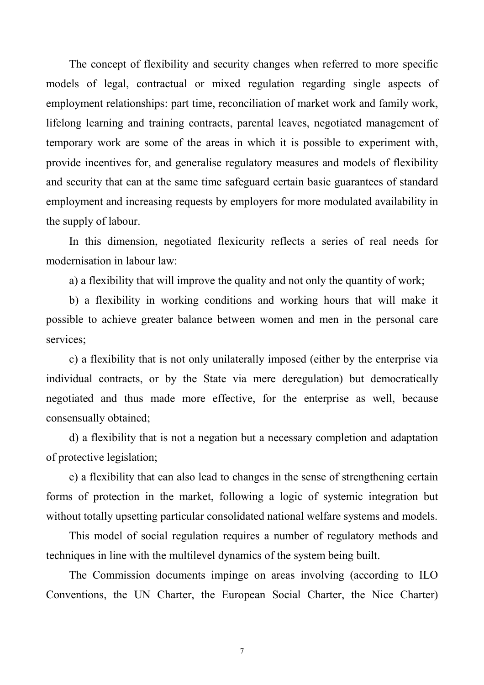The concept of flexibility and security changes when referred to more specific models of legal, contractual or mixed regulation regarding single aspects of employment relationships: part time, reconciliation of market work and family work, lifelong learning and training contracts, parental leaves, negotiated management of temporary work are some of the areas in which it is possible to experiment with, provide incentives for, and generalise regulatory measures and models of flexibility and security that can at the same time safeguard certain basic guarantees of standard employment and increasing requests by employers for more modulated availability in the supply of labour.

In this dimension, negotiated flexicurity reflects a series of real needs for modernisation in labour law:

a) a flexibility that will improve the quality and not only the quantity of work;

b) a flexibility in working conditions and working hours that will make it possible to achieve greater balance between women and men in the personal care services;

c) a flexibility that is not only unilaterally imposed (either by the enterprise via individual contracts, or by the State via mere deregulation) but democratically negotiated and thus made more effective, for the enterprise as well, because consensually obtained;

d) a flexibility that is not a negation but a necessary completion and adaptation of protective legislation;

e) a flexibility that can also lead to changes in the sense of strengthening certain forms of protection in the market, following a logic of systemic integration but without totally upsetting particular consolidated national welfare systems and models.

This model of social regulation requires a number of regulatory methods and techniques in line with the multilevel dynamics of the system being built.

The Commission documents impinge on areas involving (according to ILO Conventions, the UN Charter, the European Social Charter, the Nice Charter)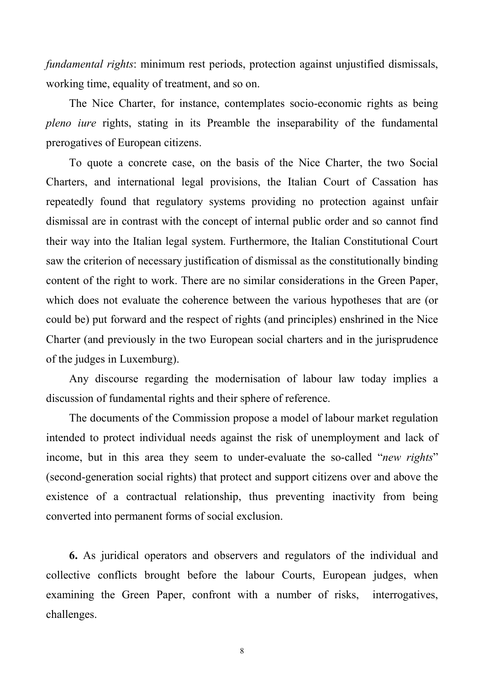fundamental rights: minimum rest periods, protection against unjustified dismissals, working time, equality of treatment, and so on.

The Nice Charter, for instance, contemplates socio-economic rights as being pleno iure rights, stating in its Preamble the inseparability of the fundamental prerogatives of European citizens.

To quote a concrete case, on the basis of the Nice Charter, the two Social Charters, and international legal provisions, the Italian Court of Cassation has repeatedly found that regulatory systems providing no protection against unfair dismissal are in contrast with the concept of internal public order and so cannot find their way into the Italian legal system. Furthermore, the Italian Constitutional Court saw the criterion of necessary justification of dismissal as the constitutionally binding content of the right to work. There are no similar considerations in the Green Paper, which does not evaluate the coherence between the various hypotheses that are (or could be) put forward and the respect of rights (and principles) enshrined in the Nice Charter (and previously in the two European social charters and in the jurisprudence of the judges in Luxemburg).

Any discourse regarding the modernisation of labour law today implies a discussion of fundamental rights and their sphere of reference.

The documents of the Commission propose a model of labour market regulation intended to protect individual needs against the risk of unemployment and lack of income, but in this area they seem to under-evaluate the so-called "new rights" (second-generation social rights) that protect and support citizens over and above the existence of a contractual relationship, thus preventing inactivity from being converted into permanent forms of social exclusion.

6. As juridical operators and observers and regulators of the individual and collective conflicts brought before the labour Courts, European judges, when examining the Green Paper, confront with a number of risks, interrogatives, challenges.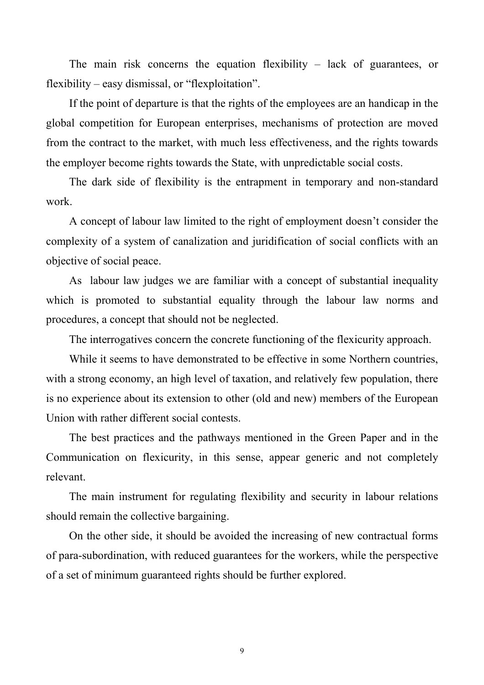The main risk concerns the equation flexibility – lack of guarantees, or flexibility – easy dismissal, or "flexploitation".

If the point of departure is that the rights of the employees are an handicap in the global competition for European enterprises, mechanisms of protection are moved from the contract to the market, with much less effectiveness, and the rights towards the employer become rights towards the State, with unpredictable social costs.

The dark side of flexibility is the entrapment in temporary and non-standard work.

A concept of labour law limited to the right of employment doesn't consider the complexity of a system of canalization and juridification of social conflicts with an objective of social peace.

As labour law judges we are familiar with a concept of substantial inequality which is promoted to substantial equality through the labour law norms and procedures, a concept that should not be neglected.

The interrogatives concern the concrete functioning of the flexicurity approach.

While it seems to have demonstrated to be effective in some Northern countries, with a strong economy, an high level of taxation, and relatively few population, there is no experience about its extension to other (old and new) members of the European Union with rather different social contests.

The best practices and the pathways mentioned in the Green Paper and in the Communication on flexicurity, in this sense, appear generic and not completely relevant.

The main instrument for regulating flexibility and security in labour relations should remain the collective bargaining.

On the other side, it should be avoided the increasing of new contractual forms of para-subordination, with reduced guarantees for the workers, while the perspective of a set of minimum guaranteed rights should be further explored.